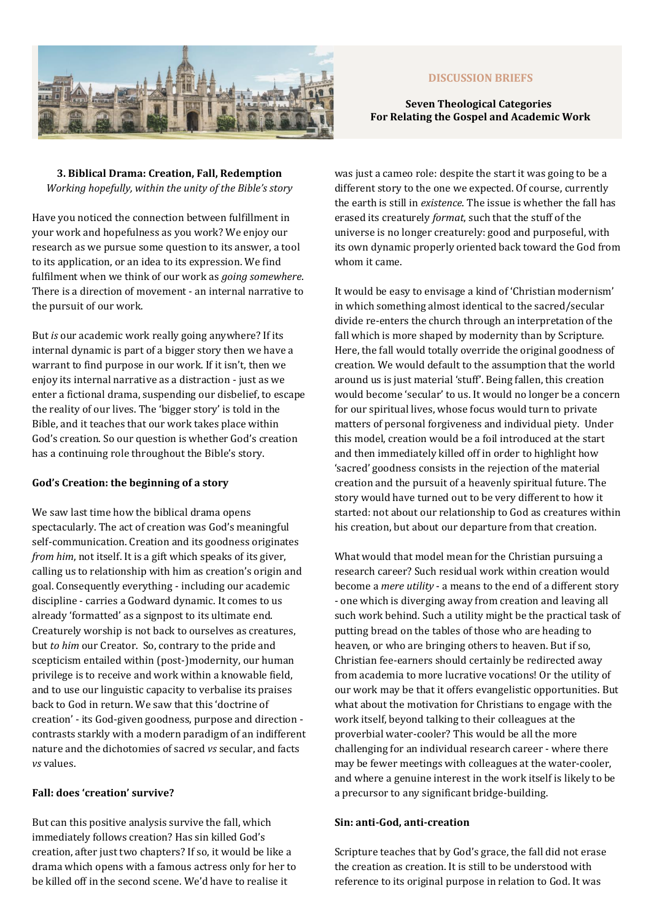

# **DISCUSSION BRIEFS**

# **Seven Theological Categories For Relating the Gospel and Academic Work**

**3. Biblical Drama: Creation, Fall, Redemption** *Working hopefully, within the unity of the Bible's story* 

Have you noticed the connection between fulfillment in your work and hopefulness as you work? We enjoy our research as we pursue some question to its answer, a tool to its application, or an idea to its expression. We find fulfilment when we think of our work as *going somewhere*. There is a direction of movement - an internal narrative to the pursuit of our work.

But *is* our academic work really going anywhere? If its internal dynamic is part of a bigger story then we have a warrant to find purpose in our work. If it isn't, then we enjoy its internal narrative as a distraction - just as we enter a fictional drama, suspending our disbelief, to escape the reality of our lives. The 'bigger story' is told in the Bible, and it teaches that our work takes place within God's creation. So our question is whether God's creation has a continuing role throughout the Bible's story.

## **God's Creation: the beginning of a story**

We saw last time how the biblical drama opens spectacularly. The act of creation was God's meaningful self-communication. Creation and its goodness originates *from him*, not itself. It is a gift which speaks of its giver, calling us to relationship with him as creation's origin and goal. Consequently everything - including our academic discipline - carries a Godward dynamic. It comes to us already 'formatted' as a signpost to its ultimate end. Creaturely worship is not back to ourselves as creatures, but *to him* our Creator. So, contrary to the pride and scepticism entailed within (post-)modernity, our human privilege is to receive and work within a knowable field, and to use our linguistic capacity to verbalise its praises back to God in return. We saw that this 'doctrine of creation' - its God-given goodness, purpose and direction contrasts starkly with a modern paradigm of an indifferent nature and the dichotomies of sacred *vs* secular, and facts *vs* values.

### **Fall: does 'creation' survive?**

But can this positive analysis survive the fall, which immediately follows creation? Has sin killed God's creation, after just two chapters? If so, it would be like a drama which opens with a famous actress only for her to be killed off in the second scene. We'd have to realise it

was just a cameo role: despite the start it was going to be a different story to the one we expected. Of course, currently the earth is still in *existence*. The issue is whether the fall has erased its creaturely *format*, such that the stuff of the universe is no longer creaturely: good and purposeful, with its own dynamic properly oriented back toward the God from whom it came.

It would be easy to envisage a kind of 'Christian modernism' in which something almost identical to the sacred/secular divide re-enters the church through an interpretation of the fall which is more shaped by modernity than by Scripture. Here, the fall would totally override the original goodness of creation. We would default to the assumption that the world around us is just material 'stuff'. Being fallen, this creation would become 'secular' to us. It would no longer be a concern for our spiritual lives, whose focus would turn to private matters of personal forgiveness and individual piety. Under this model, creation would be a foil introduced at the start and then immediately killed off in order to highlight how 'sacred' goodness consists in the rejection of the material creation and the pursuit of a heavenly spiritual future. The story would have turned out to be very different to how it started: not about our relationship to God as creatures within his creation, but about our departure from that creation.

What would that model mean for the Christian pursuing a research career? Such residual work within creation would become a *mere utility* - a means to the end of a different story - one which is diverging away from creation and leaving all such work behind. Such a utility might be the practical task of putting bread on the tables of those who are heading to heaven, or who are bringing others to heaven. But if so, Christian fee-earners should certainly be redirected away from academia to more lucrative vocations! Or the utility of our work may be that it offers evangelistic opportunities. But what about the motivation for Christians to engage with the work itself, beyond talking to their colleagues at the proverbial water-cooler? This would be all the more challenging for an individual research career - where there may be fewer meetings with colleagues at the water-cooler, and where a genuine interest in the work itself is likely to be a precursor to any significant bridge-building.

## **Sin: anti-God, anti-creation**

Scripture teaches that by God's grace, the fall did not erase the creation as creation. It is still to be understood with reference to its original purpose in relation to God. It was